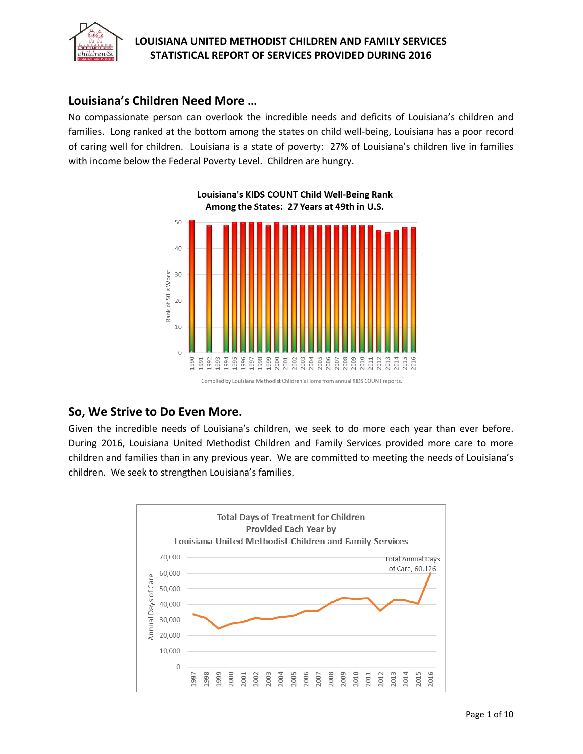

## **Louisiana's Children Need More …**

No compassionate person can overlook the incredible needs and deficits of Louisiana's children and families. Long ranked at the bottom among the states on child well-being, Louisiana has a poor record of caring well for children. Louisiana is a state of poverty: 27% of Louisiana's children live in families with income below the Federal Poverty Level. Children are hungry.



## **So, We Strive to Do Even More.**

Given the incredible needs of Louisiana's children, we seek to do more each year than ever before. During 2016, Louisiana United Methodist Children and Family Services provided more care to more children and families than in any previous year. We are committed to meeting the needs of Louisiana's children. We seek to strengthen Louisiana's families.

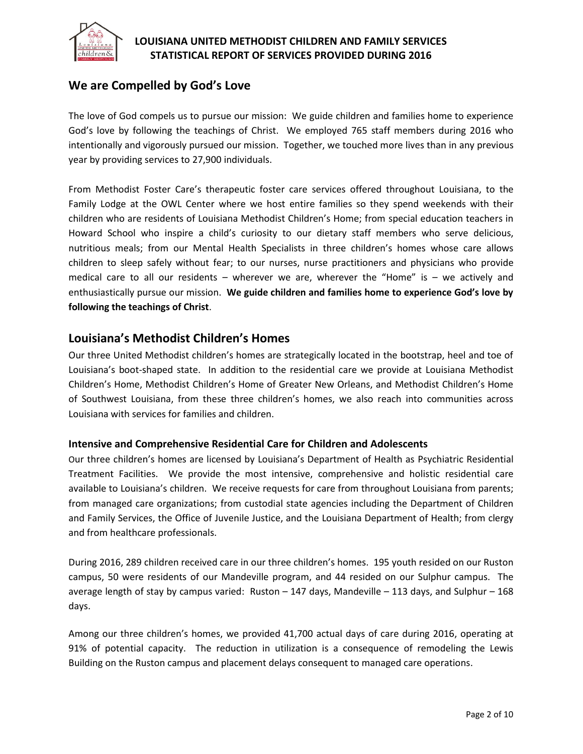

## **We are Compelled by God's Love**

The love of God compels us to pursue our mission: We guide children and families home to experience God's love by following the teachings of Christ. We employed 765 staff members during 2016 who intentionally and vigorously pursued our mission. Together, we touched more lives than in any previous year by providing services to 27,900 individuals.

From Methodist Foster Care's therapeutic foster care services offered throughout Louisiana, to the Family Lodge at the OWL Center where we host entire families so they spend weekends with their children who are residents of Louisiana Methodist Children's Home; from special education teachers in Howard School who inspire a child's curiosity to our dietary staff members who serve delicious, nutritious meals; from our Mental Health Specialists in three children's homes whose care allows children to sleep safely without fear; to our nurses, nurse practitioners and physicians who provide medical care to all our residents – wherever we are, wherever the "Home" is – we actively and enthusiastically pursue our mission. **We guide children and families home to experience God's love by following the teachings of Christ**.

## **Louisiana's Methodist Children's Homes**

Our three United Methodist children's homes are strategically located in the bootstrap, heel and toe of Louisiana's boot-shaped state. In addition to the residential care we provide at Louisiana Methodist Children's Home, Methodist Children's Home of Greater New Orleans, and Methodist Children's Home of Southwest Louisiana, from these three children's homes, we also reach into communities across Louisiana with services for families and children.

### **Intensive and Comprehensive Residential Care for Children and Adolescents**

Our three children's homes are licensed by Louisiana's Department of Health as Psychiatric Residential Treatment Facilities. We provide the most intensive, comprehensive and holistic residential care available to Louisiana's children. We receive requests for care from throughout Louisiana from parents; from managed care organizations; from custodial state agencies including the Department of Children and Family Services, the Office of Juvenile Justice, and the Louisiana Department of Health; from clergy and from healthcare professionals.

During 2016, 289 children received care in our three children's homes. 195 youth resided on our Ruston campus, 50 were residents of our Mandeville program, and 44 resided on our Sulphur campus. The average length of stay by campus varied: Ruston – 147 days, Mandeville – 113 days, and Sulphur – 168 days.

Among our three children's homes, we provided 41,700 actual days of care during 2016, operating at 91% of potential capacity. The reduction in utilization is a consequence of remodeling the Lewis Building on the Ruston campus and placement delays consequent to managed care operations.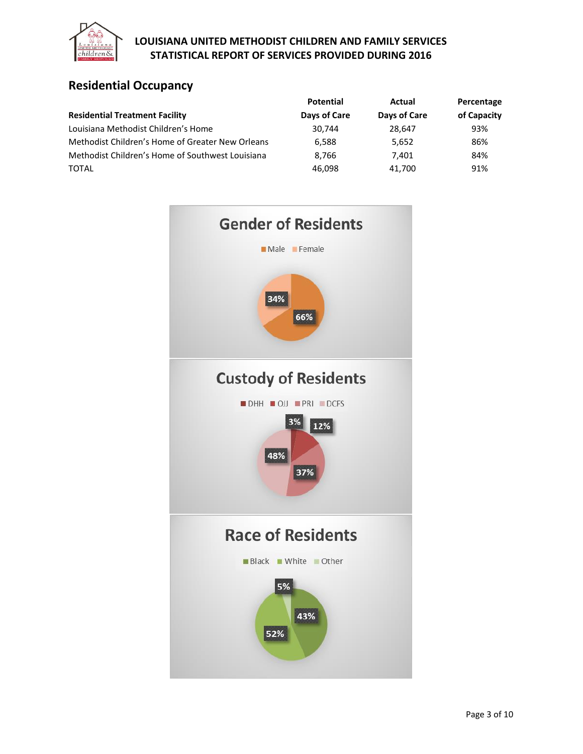

# **Residential Occupancy**

|                                                  | <b>Potential</b> | Actual       | Percentage  |  |
|--------------------------------------------------|------------------|--------------|-------------|--|
| <b>Residential Treatment Facility</b>            | Days of Care     | Days of Care | of Capacity |  |
| Louisiana Methodist Children's Home              | 30.744           | 28.647       | 93%         |  |
| Methodist Children's Home of Greater New Orleans | 6.588            | 5,652        | 86%         |  |
| Methodist Children's Home of Southwest Louisiana | 8.766            | 7.401        | 84%         |  |
| <b>TOTAL</b>                                     | 46,098           | 41,700       | 91%         |  |

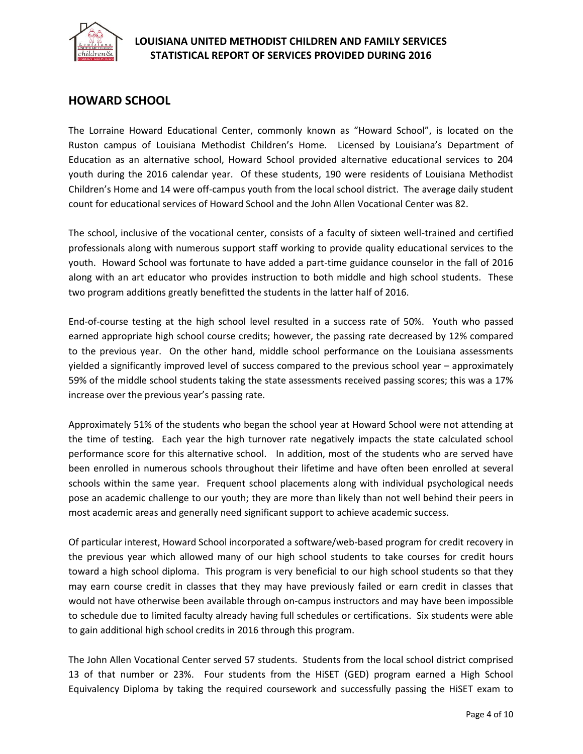

## **HOWARD SCHOOL**

The Lorraine Howard Educational Center, commonly known as "Howard School", is located on the Ruston campus of Louisiana Methodist Children's Home. Licensed by Louisiana's Department of Education as an alternative school, Howard School provided alternative educational services to 204 youth during the 2016 calendar year. Of these students, 190 were residents of Louisiana Methodist Children's Home and 14 were off-campus youth from the local school district. The average daily student count for educational services of Howard School and the John Allen Vocational Center was 82.

The school, inclusive of the vocational center, consists of a faculty of sixteen well-trained and certified professionals along with numerous support staff working to provide quality educational services to the youth. Howard School was fortunate to have added a part-time guidance counselor in the fall of 2016 along with an art educator who provides instruction to both middle and high school students. These two program additions greatly benefitted the students in the latter half of 2016.

End-of-course testing at the high school level resulted in a success rate of 50%. Youth who passed earned appropriate high school course credits; however, the passing rate decreased by 12% compared to the previous year. On the other hand, middle school performance on the Louisiana assessments yielded a significantly improved level of success compared to the previous school year – approximately 59% of the middle school students taking the state assessments received passing scores; this was a 17% increase over the previous year's passing rate.

Approximately 51% of the students who began the school year at Howard School were not attending at the time of testing. Each year the high turnover rate negatively impacts the state calculated school performance score for this alternative school. In addition, most of the students who are served have been enrolled in numerous schools throughout their lifetime and have often been enrolled at several schools within the same year. Frequent school placements along with individual psychological needs pose an academic challenge to our youth; they are more than likely than not well behind their peers in most academic areas and generally need significant support to achieve academic success.

Of particular interest, Howard School incorporated a software/web-based program for credit recovery in the previous year which allowed many of our high school students to take courses for credit hours toward a high school diploma. This program is very beneficial to our high school students so that they may earn course credit in classes that they may have previously failed or earn credit in classes that would not have otherwise been available through on-campus instructors and may have been impossible to schedule due to limited faculty already having full schedules or certifications. Six students were able to gain additional high school credits in 2016 through this program.

The John Allen Vocational Center served 57 students. Students from the local school district comprised 13 of that number or 23%. Four students from the HiSET (GED) program earned a High School Equivalency Diploma by taking the required coursework and successfully passing the HiSET exam to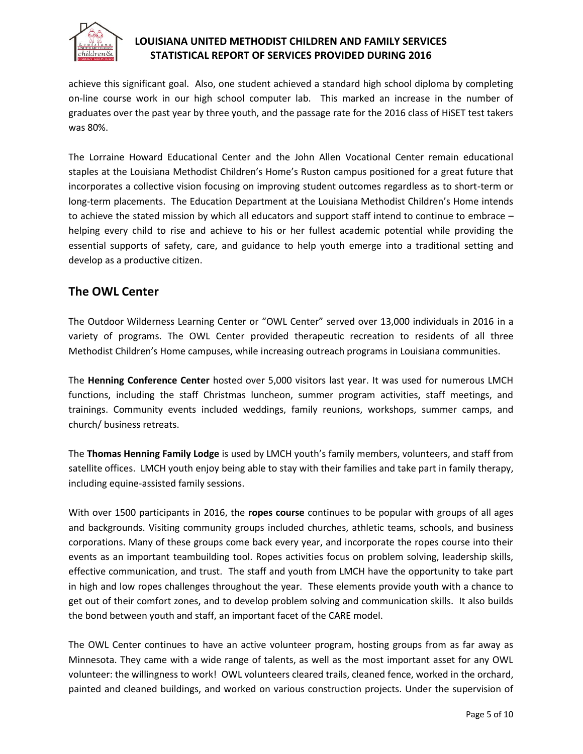

achieve this significant goal. Also, one student achieved a standard high school diploma by completing on-line course work in our high school computer lab. This marked an increase in the number of graduates over the past year by three youth, and the passage rate for the 2016 class of HiSET test takers was 80%.

The Lorraine Howard Educational Center and the John Allen Vocational Center remain educational staples at the Louisiana Methodist Children's Home's Ruston campus positioned for a great future that incorporates a collective vision focusing on improving student outcomes regardless as to short-term or long-term placements. The Education Department at the Louisiana Methodist Children's Home intends to achieve the stated mission by which all educators and support staff intend to continue to embrace – helping every child to rise and achieve to his or her fullest academic potential while providing the essential supports of safety, care, and guidance to help youth emerge into a traditional setting and develop as a productive citizen.

## **The OWL Center**

The Outdoor Wilderness Learning Center or "OWL Center" served over 13,000 individuals in 2016 in a variety of programs. The OWL Center provided therapeutic recreation to residents of all three Methodist Children's Home campuses, while increasing outreach programs in Louisiana communities.

The **Henning Conference Center** hosted over 5,000 visitors last year. It was used for numerous LMCH functions, including the staff Christmas luncheon, summer program activities, staff meetings, and trainings. Community events included weddings, family reunions, workshops, summer camps, and church/ business retreats.

The **Thomas Henning Family Lodge** is used by LMCH youth's family members, volunteers, and staff from satellite offices. LMCH youth enjoy being able to stay with their families and take part in family therapy, including equine-assisted family sessions.

With over 1500 participants in 2016, the **ropes course** continues to be popular with groups of all ages and backgrounds. Visiting community groups included churches, athletic teams, schools, and business corporations. Many of these groups come back every year, and incorporate the ropes course into their events as an important teambuilding tool. Ropes activities focus on problem solving, leadership skills, effective communication, and trust. The staff and youth from LMCH have the opportunity to take part in high and low ropes challenges throughout the year. These elements provide youth with a chance to get out of their comfort zones, and to develop problem solving and communication skills. It also builds the bond between youth and staff, an important facet of the CARE model.

The OWL Center continues to have an active volunteer program, hosting groups from as far away as Minnesota. They came with a wide range of talents, as well as the most important asset for any OWL volunteer: the willingness to work! OWL volunteers cleared trails, cleaned fence, worked in the orchard, painted and cleaned buildings, and worked on various construction projects. Under the supervision of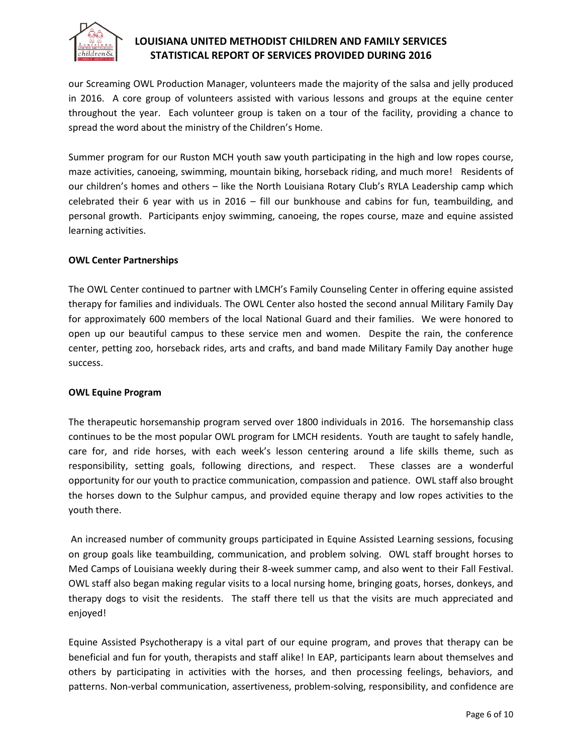

our Screaming OWL Production Manager, volunteers made the majority of the salsa and jelly produced in 2016. A core group of volunteers assisted with various lessons and groups at the equine center throughout the year. Each volunteer group is taken on a tour of the facility, providing a chance to spread the word about the ministry of the Children's Home.

Summer program for our Ruston MCH youth saw youth participating in the high and low ropes course, maze activities, canoeing, swimming, mountain biking, horseback riding, and much more! Residents of our children's homes and others – like the North Louisiana Rotary Club's RYLA Leadership camp which celebrated their 6 year with us in 2016 – fill our bunkhouse and cabins for fun, teambuilding, and personal growth. Participants enjoy swimming, canoeing, the ropes course, maze and equine assisted learning activities.

#### **OWL Center Partnerships**

The OWL Center continued to partner with LMCH's Family Counseling Center in offering equine assisted therapy for families and individuals. The OWL Center also hosted the second annual Military Family Day for approximately 600 members of the local National Guard and their families. We were honored to open up our beautiful campus to these service men and women. Despite the rain, the conference center, petting zoo, horseback rides, arts and crafts, and band made Military Family Day another huge success.

#### **OWL Equine Program**

The therapeutic horsemanship program served over 1800 individuals in 2016. The horsemanship class continues to be the most popular OWL program for LMCH residents. Youth are taught to safely handle, care for, and ride horses, with each week's lesson centering around a life skills theme, such as responsibility, setting goals, following directions, and respect. These classes are a wonderful opportunity for our youth to practice communication, compassion and patience. OWL staff also brought the horses down to the Sulphur campus, and provided equine therapy and low ropes activities to the youth there.

An increased number of community groups participated in Equine Assisted Learning sessions, focusing on group goals like teambuilding, communication, and problem solving. OWL staff brought horses to Med Camps of Louisiana weekly during their 8-week summer camp, and also went to their Fall Festival. OWL staff also began making regular visits to a local nursing home, bringing goats, horses, donkeys, and therapy dogs to visit the residents. The staff there tell us that the visits are much appreciated and enjoyed!

Equine Assisted Psychotherapy is a vital part of our equine program, and proves that therapy can be beneficial and fun for youth, therapists and staff alike! In EAP, participants learn about themselves and others by participating in activities with the horses, and then processing feelings, behaviors, and patterns. Non-verbal communication, assertiveness, problem-solving, responsibility, and confidence are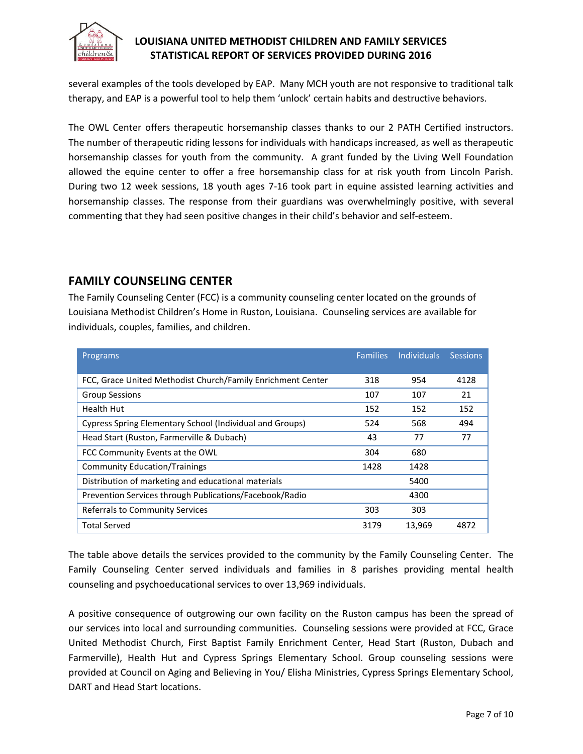

several examples of the tools developed by EAP. Many MCH youth are not responsive to traditional talk therapy, and EAP is a powerful tool to help them 'unlock' certain habits and destructive behaviors.

The OWL Center offers therapeutic horsemanship classes thanks to our 2 PATH Certified instructors. The number of therapeutic riding lessons for individuals with handicaps increased, as well as therapeutic horsemanship classes for youth from the community. A grant funded by the Living Well Foundation allowed the equine center to offer a free horsemanship class for at risk youth from Lincoln Parish. During two 12 week sessions, 18 youth ages 7-16 took part in equine assisted learning activities and horsemanship classes. The response from their guardians was overwhelmingly positive, with several commenting that they had seen positive changes in their child's behavior and self-esteem.

## **FAMILY COUNSELING CENTER**

The Family Counseling Center (FCC) is a community counseling center located on the grounds of Louisiana Methodist Children's Home in Ruston, Louisiana. Counseling services are available for individuals, couples, families, and children.

| Programs                                                    | <b>Families</b> | <b>Individuals</b> | <b>Sessions</b> |
|-------------------------------------------------------------|-----------------|--------------------|-----------------|
|                                                             |                 |                    |                 |
| FCC, Grace United Methodist Church/Family Enrichment Center | 318             | 954                | 4128            |
| <b>Group Sessions</b>                                       | 107             | 107                | 21              |
| <b>Health Hut</b>                                           | 152             | 152                | 152             |
| Cypress Spring Elementary School (Individual and Groups)    | 524             | 568                | 494             |
| Head Start (Ruston, Farmerville & Dubach)                   | 43              | 77                 | 77              |
| FCC Community Events at the OWL                             | 304             | 680                |                 |
| <b>Community Education/Trainings</b>                        | 1428            | 1428               |                 |
| Distribution of marketing and educational materials         |                 | 5400               |                 |
| Prevention Services through Publications/Facebook/Radio     |                 | 4300               |                 |
| <b>Referrals to Community Services</b>                      | 303             | 303                |                 |
| <b>Total Served</b>                                         | 3179            | 13,969             | 4872            |

The table above details the services provided to the community by the Family Counseling Center. The Family Counseling Center served individuals and families in 8 parishes providing mental health counseling and psychoeducational services to over 13,969 individuals.

A positive consequence of outgrowing our own facility on the Ruston campus has been the spread of our services into local and surrounding communities. Counseling sessions were provided at FCC, Grace United Methodist Church, First Baptist Family Enrichment Center, Head Start (Ruston, Dubach and Farmerville), Health Hut and Cypress Springs Elementary School. Group counseling sessions were provided at Council on Aging and Believing in You/ Elisha Ministries, Cypress Springs Elementary School, DART and Head Start locations.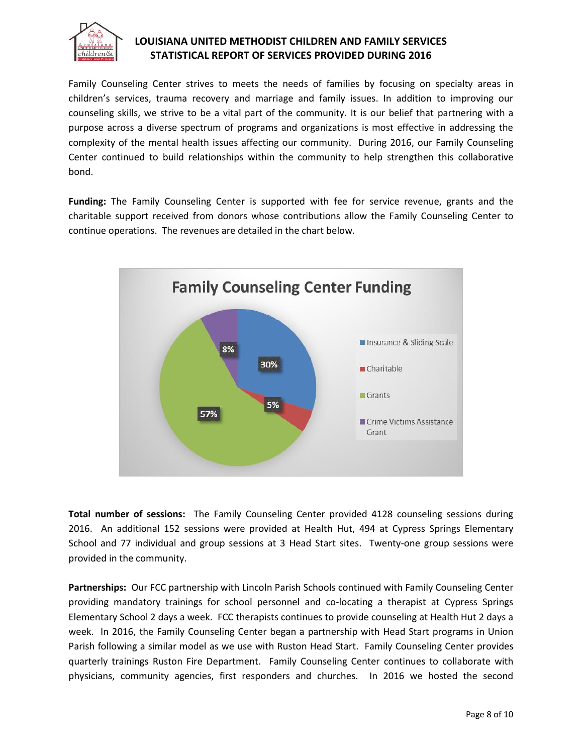

Family Counseling Center strives to meets the needs of families by focusing on specialty areas in children's services, trauma recovery and marriage and family issues. In addition to improving our counseling skills, we strive to be a vital part of the community. It is our belief that partnering with a purpose across a diverse spectrum of programs and organizations is most effective in addressing the complexity of the mental health issues affecting our community. During 2016, our Family Counseling Center continued to build relationships within the community to help strengthen this collaborative bond.

**Funding:** The Family Counseling Center is supported with fee for service revenue, grants and the charitable support received from donors whose contributions allow the Family Counseling Center to continue operations. The revenues are detailed in the chart below.



**Total number of sessions:** The Family Counseling Center provided 4128 counseling sessions during 2016. An additional 152 sessions were provided at Health Hut, 494 at Cypress Springs Elementary School and 77 individual and group sessions at 3 Head Start sites. Twenty-one group sessions were provided in the community.

**Partnerships:** Our FCC partnership with Lincoln Parish Schools continued with Family Counseling Center providing mandatory trainings for school personnel and co-locating a therapist at Cypress Springs Elementary School 2 days a week. FCC therapists continues to provide counseling at Health Hut 2 days a week. In 2016, the Family Counseling Center began a partnership with Head Start programs in Union Parish following a similar model as we use with Ruston Head Start. Family Counseling Center provides quarterly trainings Ruston Fire Department. Family Counseling Center continues to collaborate with physicians, community agencies, first responders and churches. In 2016 we hosted the second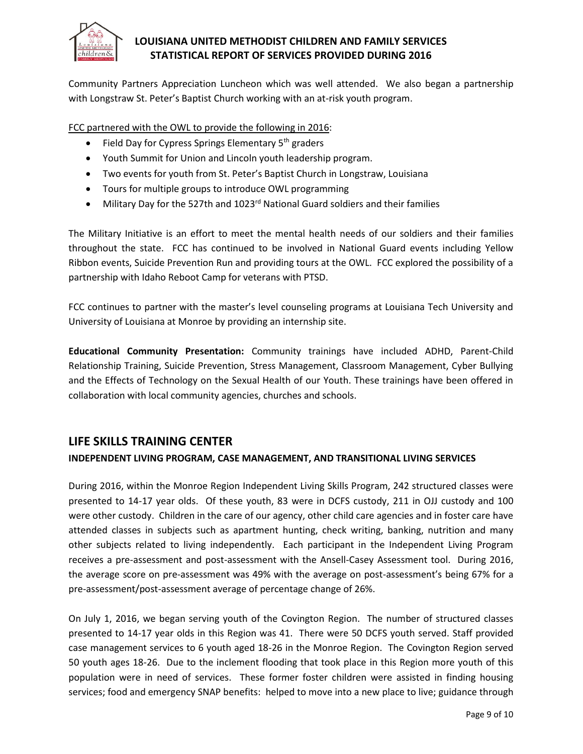

Community Partners Appreciation Luncheon which was well attended. We also began a partnership with Longstraw St. Peter's Baptist Church working with an at-risk youth program.

FCC partnered with the OWL to provide the following in 2016:

- Field Day for Cypress Springs Elementary 5<sup>th</sup> graders
- Youth Summit for Union and Lincoln youth leadership program.
- Two events for youth from St. Peter's Baptist Church in Longstraw, Louisiana
- Tours for multiple groups to introduce OWL programming
- Military Day for the 527th and 1023<sup>rd</sup> National Guard soldiers and their families

The Military Initiative is an effort to meet the mental health needs of our soldiers and their families throughout the state. FCC has continued to be involved in National Guard events including Yellow Ribbon events, Suicide Prevention Run and providing tours at the OWL. FCC explored the possibility of a partnership with Idaho Reboot Camp for veterans with PTSD.

FCC continues to partner with the master's level counseling programs at Louisiana Tech University and University of Louisiana at Monroe by providing an internship site.

**Educational Community Presentation:** Community trainings have included ADHD, Parent-Child Relationship Training, Suicide Prevention, Stress Management, Classroom Management, Cyber Bullying and the Effects of Technology on the Sexual Health of our Youth. These trainings have been offered in collaboration with local community agencies, churches and schools.

## **LIFE SKILLS TRAINING CENTER**

### **INDEPENDENT LIVING PROGRAM, CASE MANAGEMENT, AND TRANSITIONAL LIVING SERVICES**

During 2016, within the Monroe Region Independent Living Skills Program, 242 structured classes were presented to 14-17 year olds. Of these youth, 83 were in DCFS custody, 211 in OJJ custody and 100 were other custody. Children in the care of our agency, other child care agencies and in foster care have attended classes in subjects such as apartment hunting, check writing, banking, nutrition and many other subjects related to living independently. Each participant in the Independent Living Program receives a pre-assessment and post-assessment with the Ansell-Casey Assessment tool. During 2016, the average score on pre-assessment was 49% with the average on post-assessment's being 67% for a pre-assessment/post-assessment average of percentage change of 26%.

On July 1, 2016, we began serving youth of the Covington Region. The number of structured classes presented to 14-17 year olds in this Region was 41. There were 50 DCFS youth served. Staff provided case management services to 6 youth aged 18-26 in the Monroe Region. The Covington Region served 50 youth ages 18-26. Due to the inclement flooding that took place in this Region more youth of this population were in need of services. These former foster children were assisted in finding housing services; food and emergency SNAP benefits: helped to move into a new place to live; guidance through